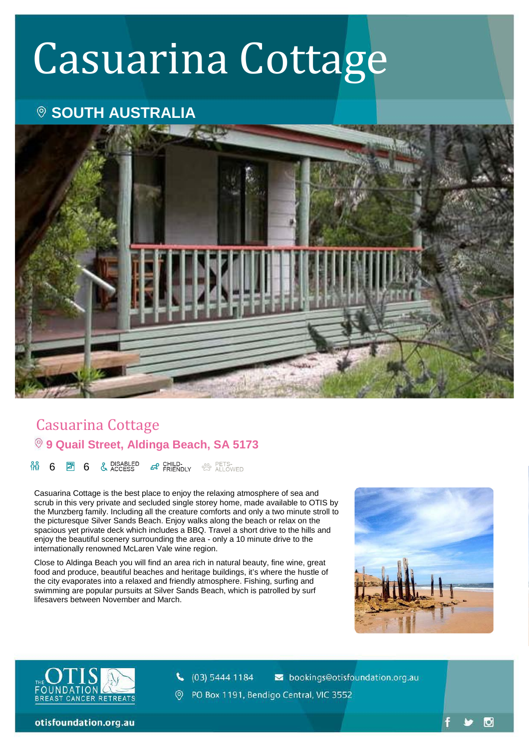# Casuarina Cottage

# **SOUTH AUSTRALIA**



## Casuarina Cottage **9 Quail Street, Aldinga Beach, SA 5173**

**EN CHILD-**<br> **EN FRIENDLY** 
<sup>23</sup> ALLOWED កំភុំ & DISABLED 6 团 6

Casuarina Cottage is the best place to enjoy the relaxing atmosphere of sea and scrub in this very private and secluded single storey home, made available to OTIS by the Munzberg family. Including all the creature comforts and only a two minute stroll to the picturesque Silver Sands Beach. Enjoy walks along the beach or relax on the spacious yet private deck which includes a BBQ. Travel a short drive to the hills and enjoy the beautiful scenery surrounding the area - only a 10 minute drive to the internationally renowned McLaren Vale wine region.

Close to Aldinga Beach you will find an area rich in natural beauty, fine wine, great food and produce, beautiful beaches and heritage buildings, it's where the hustle of the city evaporates into a relaxed and friendly atmosphere. Fishing, surfing and swimming are popular pursuits at Silver Sands Beach, which is patrolled by surf lifesavers between November and March.



 $\bullet$ 



 $\binom{1}{6}$  (03) 5444 1184 sookings@otisfoundation.org.au <sup>O</sup> PO Box 1191, Bendigo Central, VIC 3552